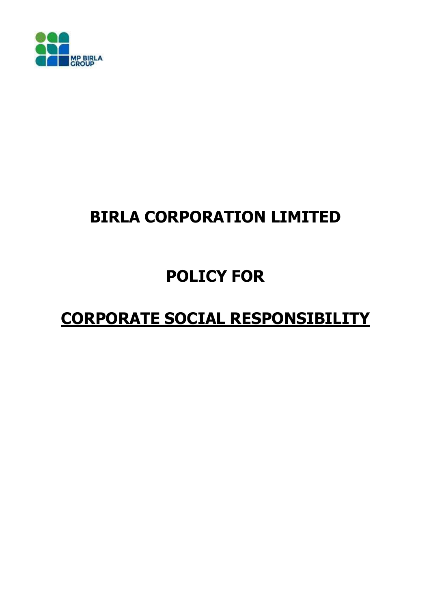

# **BIRLA CORPORATION LIMITED**

## **POLICY FOR**

## **CORPORATE SOCIAL RESPONSIBILITY**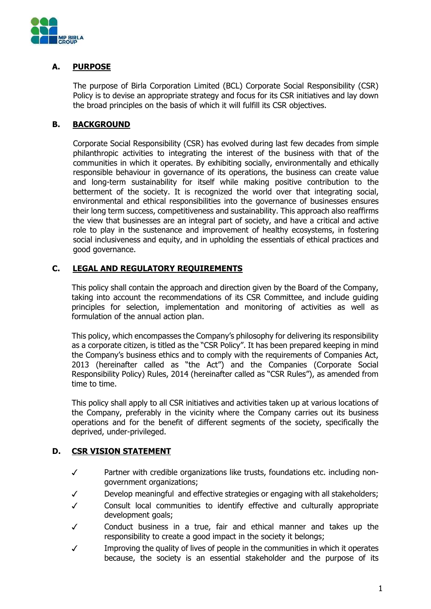

## **A. [PURPOSE](https://intranetapplications.avivaindia.com/csr/CSRPolicyIndia.aspx#purpose)**

The purpose of Birla Corporation Limited (BCL) Corporate Social Responsibility (CSR) Policy is to devise an appropriate strategy and focus for its CSR initiatives and lay down the broad principles on the basis of which it will fulfill its CSR objectives.

## **B. BACKGROUND**

Corporate Social Responsibility (CSR) has evolved during last few decades from simple philanthropic activities to integrating the interest of the business with that of the communities in which it operates. By exhibiting socially, environmentally and ethically responsible behaviour in governance of its operations, the business can create value and long-term sustainability for itself while making positive contribution to the betterment of the society. It is recognized the world over that integrating social, environmental and ethical responsibilities into the governance of businesses ensures their long term success, competitiveness and sustainability. This approach also reaffirms the view that businesses are an integral part of society, and have a critical and active role to play in the sustenance and improvement of healthy ecosystems, in fostering social inclusiveness and equity, and in upholding the essentials of ethical practices and good governance.

## **C. LEGAL AND REGULATORY REQUIREMENTS**

This policy shall contain the approach and direction given by the Board of the Company, taking into account the recommendations of its CSR Committee, and include guiding principles for selection, implementation and monitoring of activities as well as formulation of the annual action plan.

This policy, which encompasses the Company's philosophy for delivering its responsibility as a corporate citizen, is titled as the "CSR Policy". It has been prepared keeping in mind the Company's business ethics and to comply with the requirements of Companies Act, 2013 (hereinafter called as "the Act") and the Companies (Corporate Social Responsibility Policy) Rules, 2014 (hereinafter called as "CSR Rules"), as amended from time to time.

This policy shall apply to all CSR initiatives and activities taken up at various locations of the Company, preferably in the vicinity where the Company carries out its business operations and for the benefit of different segments of the society, specifically the deprived, under-privileged.

## **D. CSR VISION STATEMENT**

- ✓ Partner with credible organizations like trusts, foundations etc. including nongovernment organizations;
- ✓ Develop meaningful and effective strategies or engaging with all stakeholders;
- Consult local communities to identify effective and culturally appropriate development goals;
- ✓ Conduct business in a true, fair and ethical manner and takes up the responsibility to create a good impact in the society it belongs;
- ✓ Improving the quality of lives of people in the communities in which it operates because, the society is an essential stakeholder and the purpose of its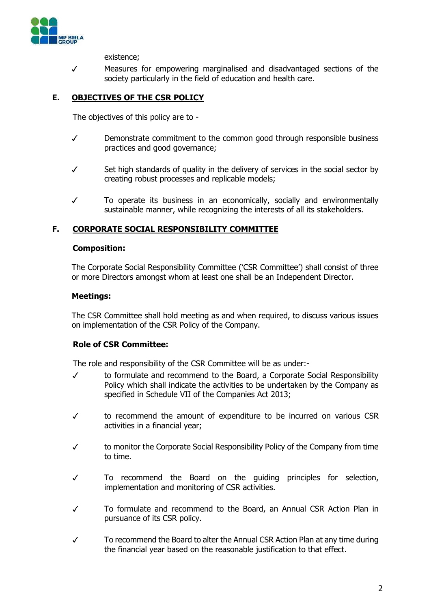

existence;

Measures for empowering marginalised and disadvantaged sections of the society particularly in the field of education and health care.

#### **E. OBJECTIVES OF THE CSR POLICY**

The objectives of this policy are to -

- ✓ Demonstrate commitment to the common good through responsible business practices and good governance;
- ✓ Set high standards of quality in the delivery of services in the social sector by creating robust processes and replicable models;
- ✓ To operate its business in an economically, socially and environmentally sustainable manner, while recognizing the interests of all its stakeholders.

#### **F. CORPORATE SOCIAL RESPONSIBILITY COMMITTEE**

#### **Composition:**

The Corporate Social Responsibility Committee ('CSR Committee') shall consist of three or more Directors amongst whom at least one shall be an Independent Director.

#### **Meetings:**

The CSR Committee shall hold meeting as and when required, to discuss various issues on implementation of the CSR Policy of the Company.

#### **Role of CSR Committee:**

The role and responsibility of the CSR Committee will be as under:-

- ✓ to formulate and recommend to the Board, a Corporate Social Responsibility Policy which shall indicate the activities to be undertaken by the Company as specified in Schedule VII of the Companies Act 2013;
- ✓ to recommend the amount of expenditure to be incurred on various CSR activities in a financial year;
- ✓ to monitor the Corporate Social Responsibility Policy of the Company from time to time.
- ✓ To recommend the Board on the guiding principles for selection, implementation and monitoring of CSR activities.
- ✓ To formulate and recommend to the Board, an Annual CSR Action Plan in pursuance of its CSR policy.
- ✓ To recommend the Board to alter the Annual CSR Action Plan at any time during the financial year based on the reasonable justification to that effect.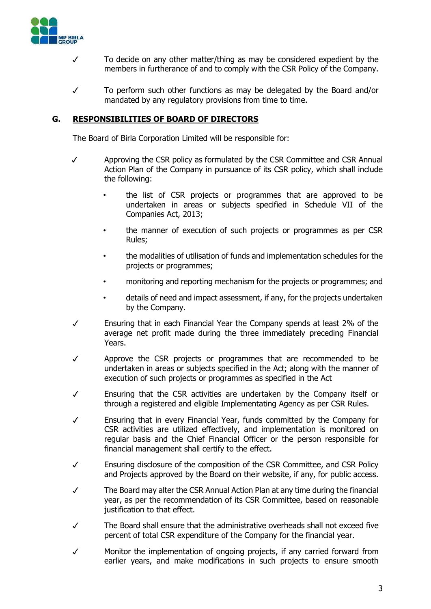

- ✓ To decide on any other matter/thing as may be considered expedient by the members in furtherance of and to comply with the CSR Policy of the Company.
- ✓ To perform such other functions as may be delegated by the Board and/or mandated by any regulatory provisions from time to time.

## **G. RESPONSIBILITIES OF BOARD OF DIRECTORS**

The Board of Birla Corporation Limited will be responsible for:

- ✓ Approving the CSR policy as formulated by the CSR Committee and CSR Annual Action Plan of the Company in pursuance of its CSR policy, which shall include the following:
	- the list of CSR projects or programmes that are approved to be undertaken in areas or subjects specified in Schedule VII of the Companies Act, 2013;
	- the manner of execution of such projects or programmes as per CSR Rules;
	- the modalities of utilisation of funds and implementation schedules for the projects or programmes;
	- monitoring and reporting mechanism for the projects or programmes; and
	- details of need and impact assessment, if any, for the projects undertaken by the Company.
- ✓ Ensuring that in each Financial Year the Company spends at least 2% of the average net profit made during the three immediately preceding Financial Years.
- ✓ Approve the CSR projects or programmes that are recommended to be undertaken in areas or subjects specified in the Act; along with the manner of execution of such projects or programmes as specified in the Act
- ✓ Ensuring that the CSR activities are undertaken by the Company itself or through a registered and eligible Implementating Agency as per CSR Rules.
- ✓ Ensuring that in every Financial Year, funds committed by the Company for CSR activities are utilized effectively, and implementation is monitored on regular basis and the Chief Financial Officer or the person responsible for financial management shall certify to the effect.
- ✓ Ensuring disclosure of the composition of the CSR Committee, and CSR Policy and Projects approved by the Board on their website, if any, for public access.
- ✓ The Board may alter the CSR Annual Action Plan at any time during the financial year, as per the recommendation of its CSR Committee, based on reasonable justification to that effect.
- ✓ The Board shall ensure that the administrative overheads shall not exceed five percent of total CSR expenditure of the Company for the financial year.
- ✓ Monitor the implementation of ongoing projects, if any carried forward from earlier years, and make modifications in such projects to ensure smooth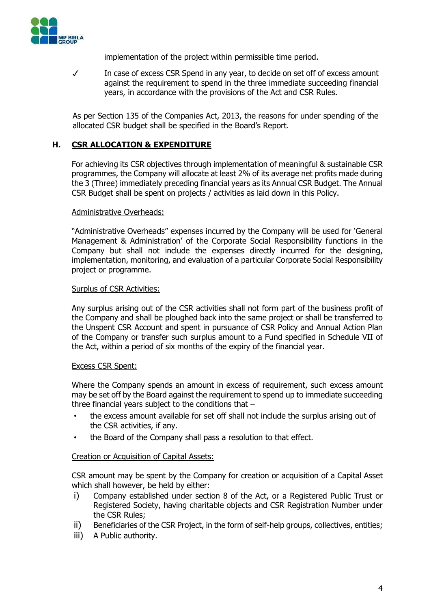

implementation of the project within permissible time period.

✓ In case of excess CSR Spend in any year, to decide on set off of excess amount against the requirement to spend in the three immediate succeeding financial years, in accordance with the provisions of the Act and CSR Rules.

As per Section 135 of the Companies Act, 2013, the reasons for under spending of the allocated CSR budget shall be specified in the Board's Report.

## **H. CSR ALLOCATION & EXPENDITURE**

For achieving its CSR objectives through implementation of meaningful & sustainable CSR programmes, the Company will allocate at least 2% of its average net profits made during the 3 (Three) immediately preceding financial years as its Annual CSR Budget. The Annual CSR Budget shall be spent on projects / activities as laid down in this Policy.

#### Administrative Overheads:

"Administrative Overheads" expenses incurred by the Company will be used for 'General Management & Administration' of the Corporate Social Responsibility functions in the Company but shall not include the expenses directly incurred for the designing, implementation, monitoring, and evaluation of a particular Corporate Social Responsibility project or programme.

#### Surplus of CSR Activities:

Any surplus arising out of the CSR activities shall not form part of the business profit of the Company and shall be ploughed back into the same project or shall be transferred to the Unspent CSR Account and spent in pursuance of CSR Policy and Annual Action Plan of the Company or transfer such surplus amount to a Fund specified in Schedule VII of the Act, within a period of six months of the expiry of the financial year.

#### Excess CSR Spent:

Where the Company spends an amount in excess of requirement, such excess amount may be set off by the Board against the requirement to spend up to immediate succeeding three financial years subject to the conditions that –

- the excess amount available for set off shall not include the surplus arising out of the CSR activities, if any.
- the Board of the Company shall pass a resolution to that effect.

#### Creation or Acquisition of Capital Assets:

CSR amount may be spent by the Company for creation or acquisition of a Capital Asset which shall however, be held by either:

- i) Company established under section 8 of the Act, or a Registered Public Trust or Registered Society, having charitable objects and CSR Registration Number under the CSR Rules;
- ii) Beneficiaries of the CSR Project, in the form of self-help groups, collectives, entities;
- iii) A Public authority.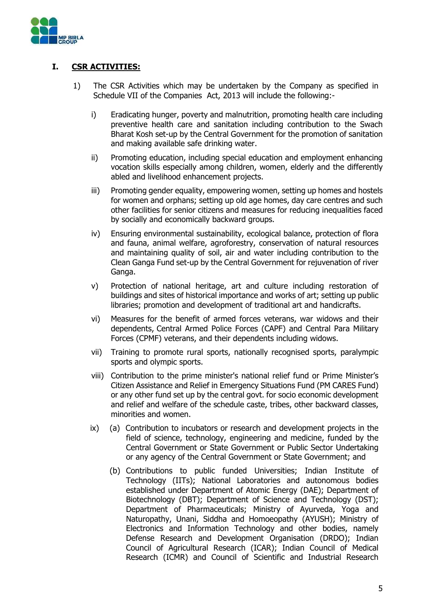

## **I. CSR ACTIVITIES:**

- 1) The CSR Activities which may be undertaken by the Company as specified in Schedule VII of the Companies Act, 2013 will include the following:
	- i) Eradicating hunger, poverty and malnutrition, promoting health care including preventive health care and sanitation including contribution to the Swach Bharat Kosh set-up by the Central Government for the promotion of sanitation and making available safe drinking water.
	- ii) Promoting education, including special education and employment enhancing vocation skills especially among children, women, elderly and the differently abled and livelihood enhancement projects.
	- iii) Promoting gender equality, empowering women, setting up homes and hostels for women and orphans; setting up old age homes, day care centres and such other facilities for senior citizens and measures for reducing inequalities faced by socially and economically backward groups.
	- iv) Ensuring environmental sustainability, ecological balance, protection of flora and fauna, animal welfare, agroforestry, conservation of natural resources and maintaining quality of soil, air and water including contribution to the Clean Ganga Fund set-up by the Central Government for rejuvenation of river Ganga.
	- v) Protection of national heritage, art and culture including restoration of buildings and sites of historical importance and works of art; setting up public libraries; promotion and development of traditional art and handicrafts.
	- vi) Measures for the benefit of armed forces veterans, war widows and their dependents, Central Armed Police Forces (CAPF) and Central Para Military Forces (CPMF) veterans, and their dependents including widows.
	- vii) Training to promote rural sports, nationally recognised sports, paralympic sports and olympic sports.
	- viii) Contribution to the prime minister's national relief fund or Prime Minister's Citizen Assistance and Relief in Emergency Situations Fund (PM CARES Fund) or any other fund set up by the central govt. for socio economic development and relief and welfare of the schedule caste, tribes, other backward classes, minorities and women.
	- ix) (a) Contribution to incubators or research and development projects in the field of science, technology, engineering and medicine, funded by the Central Government or State Government or Public Sector Undertaking or any agency of the Central Government or State Government; and
		- (b) Contributions to public funded Universities; Indian Institute of Technology (IITs); National Laboratories and autonomous bodies established under Department of Atomic Energy (DAE); Department of Biotechnology (DBT); Department of Science and Technology (DST); Department of Pharmaceuticals; Ministry of Ayurveda, Yoga and Naturopathy, Unani, Siddha and Homoeopathy (AYUSH); Ministry of Electronics and Information Technology and other bodies, namely Defense Research and Development Organisation (DRDO); Indian Council of Agricultural Research (ICAR); Indian Council of Medical Research (ICMR) and Council of Scientific and Industrial Research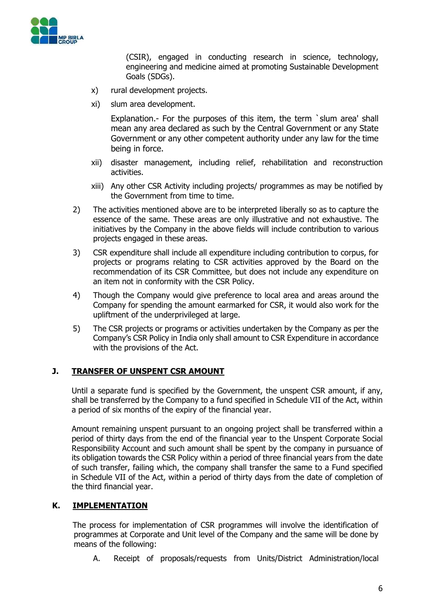

(CSIR), engaged in conducting research in science, technology, engineering and medicine aimed at promoting Sustainable Development Goals (SDGs).

- x) rural development projects.
- xi) slum area development.

Explanation.- For the purposes of this item, the term `slum area' shall mean any area declared as such by the Central Government or any State Government or any other competent authority under any law for the time being in force.

- xii) disaster management, including relief, rehabilitation and reconstruction activities.
- xiii) Any other CSR Activity including projects/ programmes as may be notified by the Government from time to time.
- 2) The activities mentioned above are to be interpreted liberally so as to capture the essence of the same. These areas are only illustrative and not exhaustive. The initiatives by the Company in the above fields will include contribution to various projects engaged in these areas.
- 3) CSR expenditure shall include all expenditure including contribution to corpus, for projects or programs relating to CSR activities approved by the Board on the recommendation of its CSR Committee, but does not include any expenditure on an item not in conformity with the CSR Policy.
- 4) Though the Company would give preference to local area and areas around the Company for spending the amount earmarked for CSR, it would also work for the upliftment of the underprivileged at large.
- 5) The CSR projects or programs or activities undertaken by the Company as per the Company's CSR Policy in India only shall amount to CSR Expenditure in accordance with the provisions of the Act.

## **J. TRANSFER OF UNSPENT CSR AMOUNT**

Until a separate fund is specified by the Government, the unspent CSR amount, if any, shall be transferred by the Company to a fund specified in Schedule VII of the Act, within a period of six months of the expiry of the financial year.

Amount remaining unspent pursuant to an ongoing project shall be transferred within a period of thirty days from the end of the financial year to the Unspent Corporate Social Responsibility Account and such amount shall be spent by the company in pursuance of its obligation towards the CSR Policy within a period of three financial years from the date of such transfer, failing which, the company shall transfer the same to a Fund specified in Schedule VII of the Act, within a period of thirty days from the date of completion of the third financial year.

#### **K. IMPLEMENTATION**

The process for implementation of CSR programmes will involve the identification of programmes at Corporate and Unit level of the Company and the same will be done by means of the following:

A. Receipt of proposals/requests from Units/District Administration/local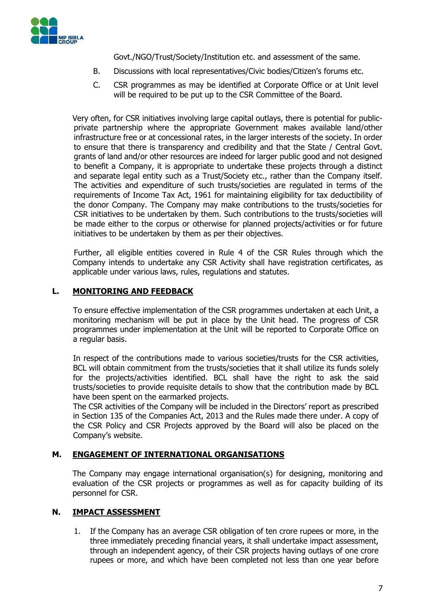

Govt./NGO/Trust/Society/Institution etc. and assessment of the same.

- B. Discussions with local representatives/Civic bodies/Citizen's forums etc.
- C. CSR programmes as may be identified at Corporate Office or at Unit level will be required to be put up to the CSR Committee of the Board.

Very often, for CSR initiatives involving large capital outlays, there is potential for publicprivate partnership where the appropriate Government makes available land/other infrastructure free or at concessional rates, in the larger interests of the society. In order to ensure that there is transparency and credibility and that the State / Central Govt. grants of land and/or other resources are indeed for larger public good and not designed to benefit a Company, it is appropriate to undertake these projects through a distinct and separate legal entity such as a Trust/Society etc., rather than the Company itself. The activities and expenditure of such trusts/societies are regulated in terms of the requirements of Income Tax Act, 1961 for maintaining eligibility for tax deductibility of the donor Company. The Company may make contributions to the trusts/societies for CSR initiatives to be undertaken by them. Such contributions to the trusts/societies will be made either to the corpus or otherwise for planned projects/activities or for future initiatives to be undertaken by them as per their objectives.

Further, all eligible entities covered in Rule 4 of the CSR Rules through which the Company intends to undertake any CSR Activity shall have registration certificates, as applicable under various laws, rules, regulations and statutes.

## **L. MONITORING AND FEEDBACK**

To ensure effective implementation of the CSR programmes undertaken at each Unit, a monitoring mechanism will be put in place by the Unit head. The progress of CSR programmes under implementation at the Unit will be reported to Corporate Office on a regular basis.

In respect of the contributions made to various societies/trusts for the CSR activities, BCL will obtain commitment from the trusts/societies that it shall utilize its funds solely for the projects/activities identified. BCL shall have the right to ask the said trusts/societies to provide requisite details to show that the contribution made by BCL have been spent on the earmarked projects.

The CSR activities of the Company will be included in the Directors' report as prescribed in Section 135 of the Companies Act, 2013 and the Rules made there under. A copy of the CSR Policy and CSR Projects approved by the Board will also be placed on the Company's website.

## **M. ENGAGEMENT OF INTERNATIONAL ORGANISATIONS**

The Company may engage international organisation(s) for designing, monitoring and evaluation of the CSR projects or programmes as well as for capacity building of its personnel for CSR.

## **N. IMPACT ASSESSMENT**

1. If the Company has an average CSR obligation of ten crore rupees or more, in the three immediately preceding financial years, it shall undertake impact assessment, through an independent agency, of their CSR projects having outlays of one crore rupees or more, and which have been completed not less than one year before